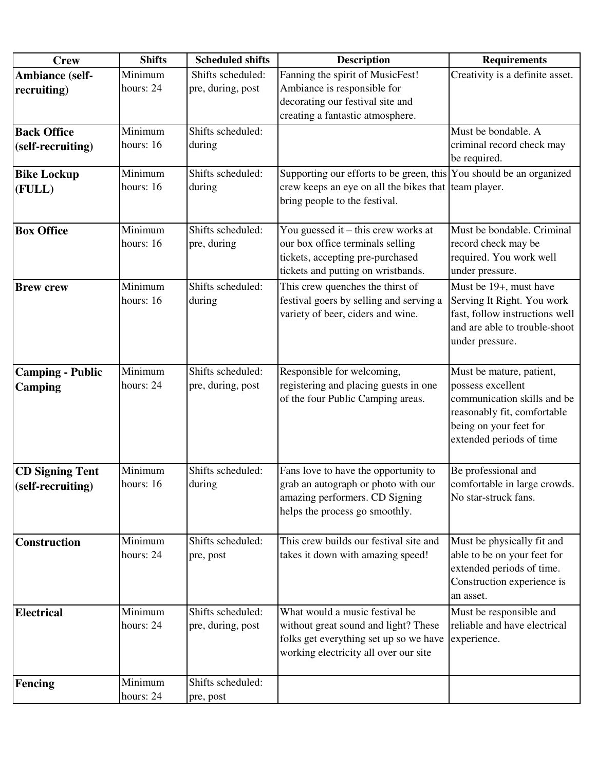| <b>Crew</b>                               | <b>Shifts</b>               | <b>Scheduled shifts</b>     | <b>Description</b>                                                                                                          | <b>Requirements</b>             |
|-------------------------------------------|-----------------------------|-----------------------------|-----------------------------------------------------------------------------------------------------------------------------|---------------------------------|
| Ambiance (self-                           | Minimum                     | Shifts scheduled:           | Fanning the spirit of MusicFest!                                                                                            | Creativity is a definite asset. |
| recruiting)                               | hours: 24                   | pre, during, post           | Ambiance is responsible for                                                                                                 |                                 |
|                                           |                             |                             | decorating our festival site and                                                                                            |                                 |
|                                           |                             |                             | creating a fantastic atmosphere.                                                                                            |                                 |
| <b>Back Office</b>                        | Minimum                     | Shifts scheduled:           |                                                                                                                             | Must be bondable. A             |
| (self-recruiting)                         | hours: 16                   | during                      |                                                                                                                             | criminal record check may       |
|                                           |                             |                             |                                                                                                                             | be required.                    |
| <b>Bike Lockup</b>                        | Minimum<br>hours: 16        | Shifts scheduled:<br>during | Supporting our efforts to be green, this You should be an organized<br>crew keeps an eye on all the bikes that team player. |                                 |
| (FULL)                                    |                             |                             | bring people to the festival.                                                                                               |                                 |
|                                           |                             |                             |                                                                                                                             |                                 |
| <b>Box Office</b>                         | Minimum                     | Shifts scheduled:           | You guessed it $-$ this crew works at                                                                                       | Must be bondable. Criminal      |
|                                           | hours: 16                   | pre, during                 | our box office terminals selling                                                                                            | record check may be             |
|                                           |                             |                             | tickets, accepting pre-purchased                                                                                            | required. You work well         |
|                                           |                             |                             | tickets and putting on wristbands.                                                                                          | under pressure.                 |
| <b>Brew crew</b>                          | Minimum                     | Shifts scheduled:           | This crew quenches the thirst of                                                                                            | Must be 19+, must have          |
|                                           | hours: 16                   | during                      | festival goers by selling and serving a                                                                                     | Serving It Right. You work      |
|                                           |                             |                             | variety of beer, ciders and wine.                                                                                           | fast, follow instructions well  |
|                                           |                             |                             |                                                                                                                             | and are able to trouble-shoot   |
|                                           |                             |                             |                                                                                                                             | under pressure.                 |
|                                           | $\overline{\text{Minimum}}$ | Shifts scheduled:           | Responsible for welcoming,                                                                                                  | Must be mature, patient,        |
| <b>Camping - Public</b><br><b>Camping</b> | hours: 24                   | pre, during, post           | registering and placing guests in one                                                                                       | possess excellent               |
|                                           |                             |                             | of the four Public Camping areas.                                                                                           | communication skills and be     |
|                                           |                             |                             |                                                                                                                             | reasonably fit, comfortable     |
|                                           |                             |                             |                                                                                                                             | being on your feet for          |
|                                           |                             |                             |                                                                                                                             | extended periods of time        |
|                                           |                             |                             |                                                                                                                             |                                 |
| <b>CD Signing Tent</b>                    | Minimum                     | Shifts scheduled:           | Fans love to have the opportunity to                                                                                        | Be professional and             |
| (self-recruiting)                         | hours: 16                   | during                      | grab an autograph or photo with our                                                                                         | comfortable in large crowds.    |
|                                           |                             |                             | amazing performers. CD Signing                                                                                              | No star-struck fans.            |
|                                           |                             |                             | helps the process go smoothly.                                                                                              |                                 |
| Construction                              | Minimum                     | Shifts scheduled:           | This crew builds our festival site and                                                                                      | Must be physically fit and      |
|                                           | hours: 24                   | pre, post                   | takes it down with amazing speed!                                                                                           | able to be on your feet for     |
|                                           |                             |                             |                                                                                                                             | extended periods of time.       |
|                                           |                             |                             |                                                                                                                             | Construction experience is      |
|                                           |                             |                             |                                                                                                                             | an asset.                       |
| <b>Electrical</b>                         | Minimum                     | Shifts scheduled:           | What would a music festival be                                                                                              | Must be responsible and         |
|                                           | hours: 24                   | pre, during, post           | without great sound and light? These                                                                                        | reliable and have electrical    |
|                                           |                             |                             | folks get everything set up so we have                                                                                      | experience.                     |
|                                           |                             |                             | working electricity all over our site                                                                                       |                                 |
|                                           |                             |                             |                                                                                                                             |                                 |
| <b>Fencing</b>                            | $\overline{\text{Minimum}}$ | Shifts scheduled:           |                                                                                                                             |                                 |
|                                           | hours: 24                   | pre, post                   |                                                                                                                             |                                 |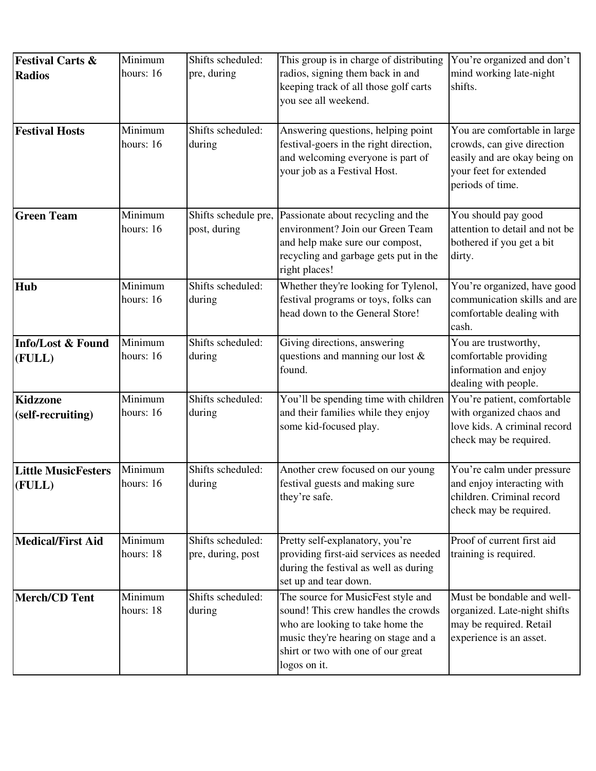| <b>Festival Carts &amp;</b> | Minimum<br>hours: 16 | Shifts scheduled:           | This group is in charge of distributing<br>radios, signing them back in and                                                                       | You're organized and don't<br>mind working late-night                                                                                    |
|-----------------------------|----------------------|-----------------------------|---------------------------------------------------------------------------------------------------------------------------------------------------|------------------------------------------------------------------------------------------------------------------------------------------|
| <b>Radios</b>               |                      | pre, during                 | keeping track of all those golf carts<br>you see all weekend.                                                                                     | shifts.                                                                                                                                  |
| <b>Festival Hosts</b>       | Minimum<br>hours: 16 | Shifts scheduled:<br>during | Answering questions, helping point<br>festival-goers in the right direction,<br>and welcoming everyone is part of<br>your job as a Festival Host. | You are comfortable in large<br>crowds, can give direction<br>easily and are okay being on<br>your feet for extended<br>periods of time. |
| <b>Green Team</b>           | Minimum              | Shifts schedule pre,        | Passionate about recycling and the                                                                                                                | You should pay good                                                                                                                      |
|                             | hours: 16            | post, during                | environment? Join our Green Team                                                                                                                  | attention to detail and not be                                                                                                           |
|                             |                      |                             | and help make sure our compost,<br>recycling and garbage gets put in the<br>right places!                                                         | bothered if you get a bit<br>dirty.                                                                                                      |
| <b>Hub</b>                  | Minimum              | Shifts scheduled:           | Whether they're looking for Tylenol,                                                                                                              | You're organized, have good                                                                                                              |
|                             | hours: 16            | during                      | festival programs or toys, folks can                                                                                                              | communication skills and are                                                                                                             |
|                             |                      |                             | head down to the General Store!                                                                                                                   | comfortable dealing with<br>cash.                                                                                                        |
| Info/Lost & Found           | Minimum              | Shifts scheduled:           | Giving directions, answering                                                                                                                      | You are trustworthy,                                                                                                                     |
| (FULL)                      | hours: 16            | during                      | questions and manning our lost $\&$                                                                                                               | comfortable providing                                                                                                                    |
|                             |                      |                             | found.                                                                                                                                            | information and enjoy<br>dealing with people.                                                                                            |
| <b>Kidzzone</b>             | Minimum              | Shifts scheduled:           | You'll be spending time with children                                                                                                             | You're patient, comfortable                                                                                                              |
| (self-recruiting)           | hours: 16            | during                      | and their families while they enjoy                                                                                                               | with organized chaos and                                                                                                                 |
|                             |                      |                             | some kid-focused play.                                                                                                                            | love kids. A criminal record<br>check may be required.                                                                                   |
| <b>Little MusicFesters</b>  | Minimum              | Shifts scheduled:           | Another crew focused on our young                                                                                                                 | You're calm under pressure                                                                                                               |
| (FULL)                      | hours: 16            | during                      | festival guests and making sure                                                                                                                   | and enjoy interacting with                                                                                                               |
|                             |                      |                             | they're safe.                                                                                                                                     | children. Criminal record<br>check may be required.                                                                                      |
| <b>Medical/First Aid</b>    | Minimum              | Shifts scheduled:           | Pretty self-explanatory, you're                                                                                                                   | Proof of current first aid                                                                                                               |
|                             | hours: 18            | pre, during, post           | providing first-aid services as needed                                                                                                            | training is required.                                                                                                                    |
|                             |                      |                             | during the festival as well as during<br>set up and tear down.                                                                                    |                                                                                                                                          |
| <b>Merch/CD Tent</b>        | Minimum              | Shifts scheduled:           | The source for MusicFest style and                                                                                                                | Must be bondable and well-                                                                                                               |
|                             | hours: 18            | during                      | sound! This crew handles the crowds                                                                                                               | organized. Late-night shifts                                                                                                             |
|                             |                      |                             | who are looking to take home the                                                                                                                  | may be required. Retail                                                                                                                  |
|                             |                      |                             | music they're hearing on stage and a<br>shirt or two with one of our great                                                                        | experience is an asset.                                                                                                                  |
|                             |                      |                             | logos on it.                                                                                                                                      |                                                                                                                                          |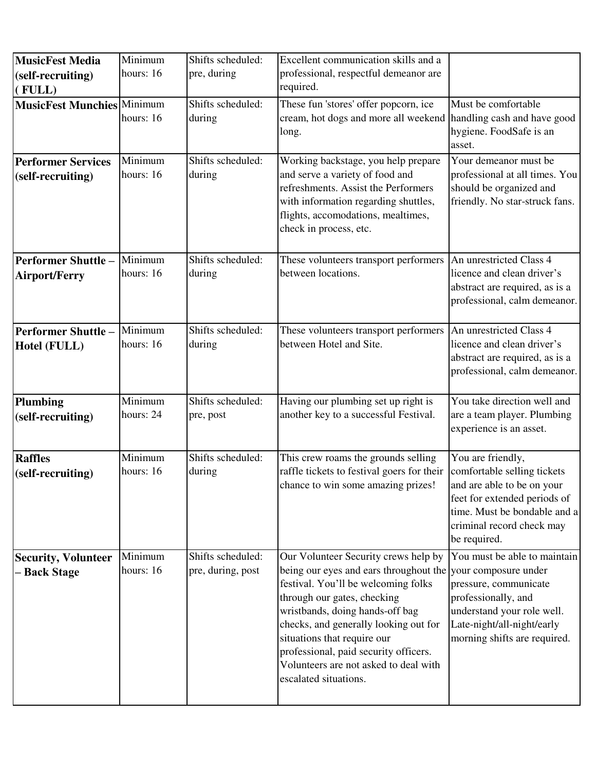| <b>MusicFest Media</b>                            | Minimum                                  | Shifts scheduled:                      | Excellent communication skills and a                                                                                                                                                                                                                                                                                                                                                            |                                                                                                                                                                                             |
|---------------------------------------------------|------------------------------------------|----------------------------------------|-------------------------------------------------------------------------------------------------------------------------------------------------------------------------------------------------------------------------------------------------------------------------------------------------------------------------------------------------------------------------------------------------|---------------------------------------------------------------------------------------------------------------------------------------------------------------------------------------------|
| (self-recruiting)                                 | hours: 16                                | pre, during                            | professional, respectful demeanor are                                                                                                                                                                                                                                                                                                                                                           |                                                                                                                                                                                             |
| (FULL)                                            |                                          |                                        | required.                                                                                                                                                                                                                                                                                                                                                                                       |                                                                                                                                                                                             |
| <b>MusicFest Munchies Minimum</b>                 | hours: 16                                | Shifts scheduled:<br>during            | These fun 'stores' offer popcorn, ice<br>cream, hot dogs and more all weekend<br>long.                                                                                                                                                                                                                                                                                                          | Must be comfortable<br>handling cash and have good<br>hygiene. FoodSafe is an<br>asset.                                                                                                     |
| <b>Performer Services</b><br>(self-recruiting)    | Minimum<br>hours: 16                     | Shifts scheduled:<br>during            | Working backstage, you help prepare<br>and serve a variety of food and<br>refreshments. Assist the Performers<br>with information regarding shuttles,<br>flights, accomodations, mealtimes,<br>check in process, etc.                                                                                                                                                                           | Your demeanor must be<br>professional at all times. You<br>should be organized and<br>friendly. No star-struck fans.                                                                        |
| <b>Performer Shuttle-</b><br><b>Airport/Ferry</b> | Minimum<br>hours: 16                     | Shifts scheduled:<br>during            | These volunteers transport performers<br>between locations.                                                                                                                                                                                                                                                                                                                                     | An unrestricted Class 4<br>licence and clean driver's<br>abstract are required, as is a<br>professional, calm demeanor.                                                                     |
| <b>Performer Shuttle-</b><br>Hotel (FULL)         | Minimum<br>hours: 16                     | Shifts scheduled:<br>during            | These volunteers transport performers<br>between Hotel and Site.                                                                                                                                                                                                                                                                                                                                | An unrestricted Class 4<br>licence and clean driver's<br>abstract are required, as is a<br>professional, calm demeanor.                                                                     |
| <b>Plumbing</b><br>(self-recruiting)              | $\overline{\text{Minimum}}$<br>hours: 24 | Shifts scheduled:<br>pre, post         | Having our plumbing set up right is<br>another key to a successful Festival.                                                                                                                                                                                                                                                                                                                    | You take direction well and<br>are a team player. Plumbing<br>experience is an asset.                                                                                                       |
| <b>Raffles</b><br>(self-recruiting)               | Minimum<br>hours: 16                     | Shifts scheduled:<br>during            | This crew roams the grounds selling<br>raffle tickets to festival goers for their<br>chance to win some amazing prizes!                                                                                                                                                                                                                                                                         | You are friendly,<br>comfortable selling tickets<br>and are able to be on your<br>feet for extended periods of<br>time. Must be bondable and a<br>criminal record check may<br>be required. |
| <b>Security, Volunteer</b><br>- Back Stage        | Minimum<br>hours: 16                     | Shifts scheduled:<br>pre, during, post | Our Volunteer Security crews help by<br>being our eyes and ears throughout the your composure under<br>festival. You'll be welcoming folks<br>through our gates, checking<br>wristbands, doing hands-off bag<br>checks, and generally looking out for<br>situations that require our<br>professional, paid security officers.<br>Volunteers are not asked to deal with<br>escalated situations. | You must be able to maintain<br>pressure, communicate<br>professionally, and<br>understand your role well.<br>Late-night/all-night/early<br>morning shifts are required.                    |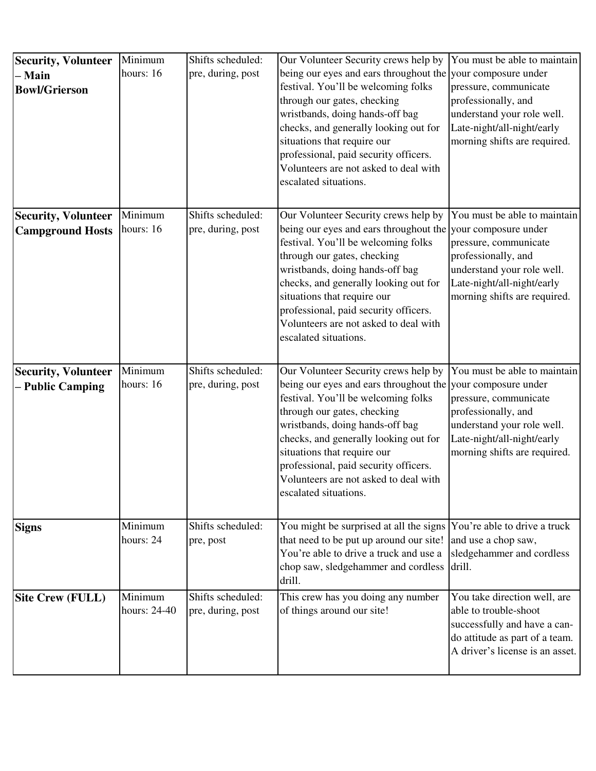| <b>Security, Volunteer</b>     | Minimum<br>hours: 16    | Shifts scheduled: | Our Volunteer Security crews help by<br>being our eyes and ears throughout the your composure under | You must be able to maintain                          |
|--------------------------------|-------------------------|-------------------|-----------------------------------------------------------------------------------------------------|-------------------------------------------------------|
| – Main<br><b>Bowl/Grierson</b> |                         | pre, during, post | festival. You'll be welcoming folks                                                                 | pressure, communicate                                 |
|                                |                         |                   | through our gates, checking                                                                         | professionally, and                                   |
|                                |                         |                   | wristbands, doing hands-off bag                                                                     | understand your role well.                            |
|                                |                         |                   | checks, and generally looking out for                                                               | Late-night/all-night/early                            |
|                                |                         |                   | situations that require our                                                                         | morning shifts are required.                          |
|                                |                         |                   | professional, paid security officers.<br>Volunteers are not asked to deal with                      |                                                       |
|                                |                         |                   | escalated situations.                                                                               |                                                       |
|                                |                         |                   |                                                                                                     |                                                       |
| <b>Security, Volunteer</b>     | Minimum                 | Shifts scheduled: | Our Volunteer Security crews help by                                                                | You must be able to maintain                          |
| <b>Campground Hosts</b>        | hours: 16               | pre, during, post | being our eyes and ears throughout the your composure under                                         |                                                       |
|                                |                         |                   | festival. You'll be welcoming folks<br>through our gates, checking                                  | pressure, communicate<br>professionally, and          |
|                                |                         |                   | wristbands, doing hands-off bag                                                                     | understand your role well.                            |
|                                |                         |                   | checks, and generally looking out for                                                               | Late-night/all-night/early                            |
|                                |                         |                   | situations that require our                                                                         | morning shifts are required.                          |
|                                |                         |                   | professional, paid security officers.                                                               |                                                       |
|                                |                         |                   | Volunteers are not asked to deal with                                                               |                                                       |
|                                |                         |                   | escalated situations.                                                                               |                                                       |
|                                | Minimum                 | Shifts scheduled: | Our Volunteer Security crews help by                                                                | You must be able to maintain                          |
| <b>Security, Volunteer</b>     |                         |                   |                                                                                                     |                                                       |
|                                |                         |                   |                                                                                                     |                                                       |
| - Public Camping               | hours: 16               | pre, during, post | being our eyes and ears throughout the your composure under<br>festival. You'll be welcoming folks  | pressure, communicate                                 |
|                                |                         |                   | through our gates, checking                                                                         | professionally, and                                   |
|                                |                         |                   | wristbands, doing hands-off bag                                                                     | understand your role well.                            |
|                                |                         |                   | checks, and generally looking out for                                                               | Late-night/all-night/early                            |
|                                |                         |                   | situations that require our                                                                         | morning shifts are required.                          |
|                                |                         |                   | professional, paid security officers.                                                               |                                                       |
|                                |                         |                   | Volunteers are not asked to deal with                                                               |                                                       |
|                                |                         |                   | escalated situations.                                                                               |                                                       |
| <b>Signs</b>                   | Minimum                 | Shifts scheduled: | You might be surprised at all the signs You're able to drive a truck                                |                                                       |
|                                | hours: 24               | pre, post         | that need to be put up around our site!                                                             | and use a chop saw,                                   |
|                                |                         |                   | You're able to drive a truck and use a                                                              | sledgehammer and cordless                             |
|                                |                         |                   | chop saw, sledgehammer and cordless                                                                 | drill.                                                |
|                                |                         | Shifts scheduled: | drill.                                                                                              |                                                       |
| <b>Site Crew (FULL)</b>        | Minimum<br>hours: 24-40 | pre, during, post | This crew has you doing any number<br>of things around our site!                                    | You take direction well, are<br>able to trouble-shoot |
|                                |                         |                   |                                                                                                     | successfully and have a can-                          |
|                                |                         |                   |                                                                                                     | do attitude as part of a team.                        |
|                                |                         |                   |                                                                                                     | A driver's license is an asset.                       |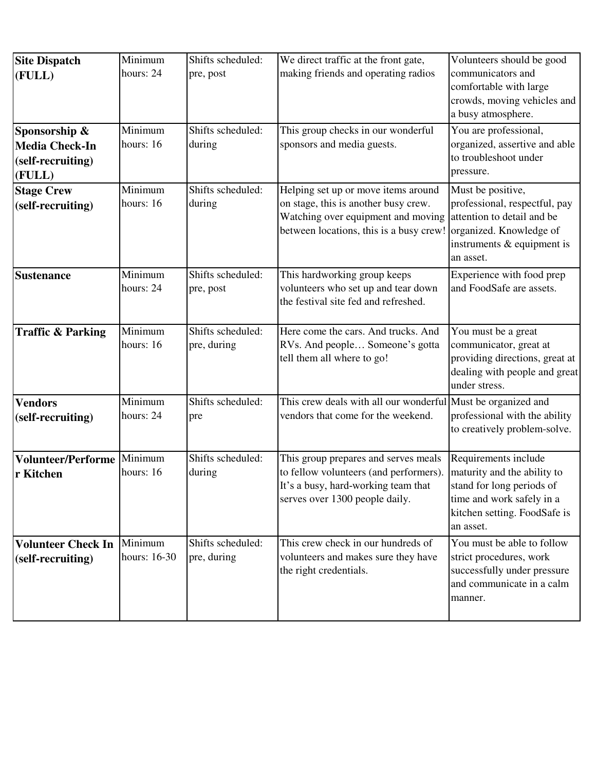| <b>Site Dispatch</b>                                                  | Minimum                 | Shifts scheduled:                | We direct traffic at the front gate,                                                                                                                         | Volunteers should be good                                                                                                                                  |
|-----------------------------------------------------------------------|-------------------------|----------------------------------|--------------------------------------------------------------------------------------------------------------------------------------------------------------|------------------------------------------------------------------------------------------------------------------------------------------------------------|
| (FULL)                                                                | hours: 24               | pre, post                        | making friends and operating radios                                                                                                                          | communicators and<br>comfortable with large<br>crowds, moving vehicles and<br>a busy atmosphere.                                                           |
| Sponsorship &<br><b>Media Check-In</b><br>(self-recruiting)<br>(FULL) | Minimum<br>hours: 16    | Shifts scheduled:<br>during      | This group checks in our wonderful<br>sponsors and media guests.                                                                                             | You are professional,<br>organized, assertive and able<br>to troubleshoot under<br>pressure.                                                               |
| <b>Stage Crew</b><br>(self-recruiting)                                | Minimum<br>hours: 16    | Shifts scheduled:<br>during      | Helping set up or move items around<br>on stage, this is another busy crew.<br>Watching over equipment and moving<br>between locations, this is a busy crew! | Must be positive,<br>professional, respectful, pay<br>attention to detail and be<br>organized. Knowledge of<br>instruments & equipment is<br>an asset.     |
| <b>Sustenance</b>                                                     | Minimum<br>hours: 24    | Shifts scheduled:<br>pre, post   | This hardworking group keeps<br>volunteers who set up and tear down<br>the festival site fed and refreshed.                                                  | Experience with food prep<br>and FoodSafe are assets.                                                                                                      |
| <b>Traffic &amp; Parking</b>                                          | Minimum<br>hours: 16    | Shifts scheduled:<br>pre, during | Here come the cars. And trucks. And<br>RVs. And people Someone's gotta<br>tell them all where to go!                                                         | You must be a great<br>communicator, great at<br>providing directions, great at<br>dealing with people and great<br>under stress.                          |
| <b>Vendors</b><br>(self-recruiting)                                   | Minimum<br>hours: 24    | Shifts scheduled:<br>pre         | This crew deals with all our wonderful Must be organized and<br>vendors that come for the weekend.                                                           | professional with the ability<br>to creatively problem-solve.                                                                                              |
| <b>Volunteer/Performe</b><br>r Kitchen                                | Minimum<br>hours: 16    | Shifts scheduled:<br>during      | This group prepares and serves meals<br>to fellow volunteers (and performers).<br>It's a busy, hard-working team that<br>serves over 1300 people daily.      | Requirements include<br>maturity and the ability to<br>stand for long periods of<br>time and work safely in a<br>kitchen setting. FoodSafe is<br>an asset. |
| <b>Volunteer Check In</b><br>(self-recruiting)                        | Minimum<br>hours: 16-30 | Shifts scheduled:<br>pre, during | This crew check in our hundreds of<br>volunteers and makes sure they have<br>the right credentials.                                                          | You must be able to follow<br>strict procedures, work<br>successfully under pressure<br>and communicate in a calm<br>manner.                               |